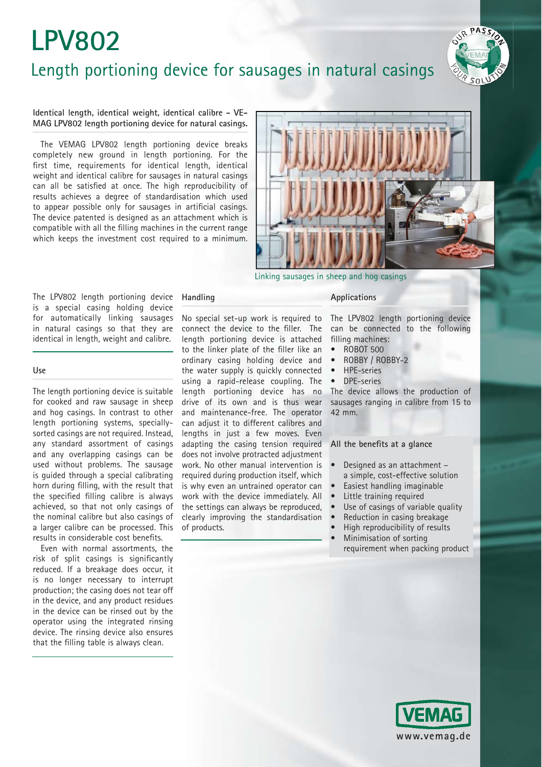# **LPV802** Length portioning device for sausages in natural casings



**Identical length, identical weight, identical calibre - VE-MAG LPV802 length portioning device for natural casings.** 

The VEMAG LPV802 length portioning device breaks completely new ground in length portioning. For the first time, requirements for identical length, identical weight and identical calibre for sausages in natural casings can all be satisfied at once. The high reproducibility of results achieves a degree of standardisation which used to appear possible only for sausages in artificial casings. The device patented is designed as an attachment which is compatible with all the filling machines in the current range which keeps the investment cost required to a minimum.



Linking sausages in sheep and hog casings

The LPV802 length portioning device is a special casing holding device for automatically linking sausages in natural casings so that they are identical in length, weight and calibre.

#### **Use**

The length portioning device is suitable for cooked and raw sausage in sheep and hog casings. In contrast to other length portioning systems, speciallysorted casings are not required. Instead, any standard assortment of casings and any overlapping casings can be used without problems. The sausage is guided through a special calibrating horn during filling, with the result that the specified filling calibre is always achieved, so that not only casings of the nominal calibre but also casings of a larger calibre can be processed. This results in considerable cost benefits.

Even with normal assortments, the risk of split casings is significantly reduced. If a breakage does occur, it is no longer necessary to interrupt production; the casing does not tear off in the device, and any product residues in the device can be rinsed out by the operator using the integrated rinsing device. The rinsing device also ensures that the filling table is always clean.

### **Handling**

No special set-up work is required to connect the device to the filler. The length portioning device is attached to the linker plate of the filler like an ordinary casing holding device and the water supply is quickly connected using a rapid-release coupling. The length portioning device has no drive of its own and is thus wear and maintenance-free. The operator can adjust it to different calibres and lengths in just a few moves. Even adapting the casing tension required does not involve protracted adjustment work. No other manual intervention is required during production itself, which is why even an untrained operator can work with the device immediately. All the settings can always be reproduced, clearly improving the standardisation of products.

#### **Applications**

The LPV802 length portioning device can be connected to the following filling machines:

- ROBOT 500
- ROBBY / ROBBY-2
- HPE-series
- DPE-series

The device allows the production of sausages ranging in calibre from 15 to 42 mm.

#### All the benefits at a glance

- Designed as an attachment a simple, cost-effective solution
- Easiest handling imaginable
- Little training required
- Use of casings of variable quality
- Reduction in casing breakage
- High reproducibility of results
- Minimisation of sorting
	- requirement when packing product